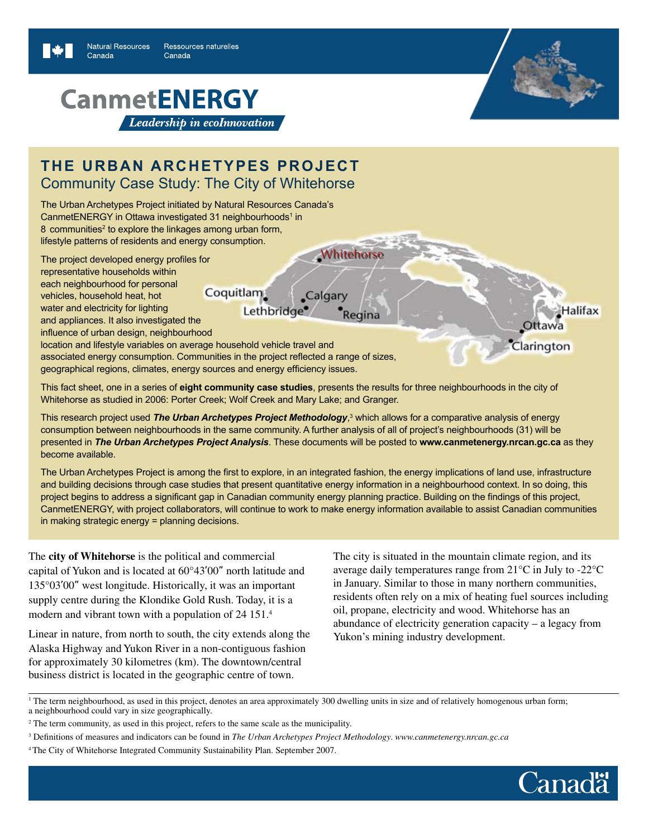# **CanmetENERGY** Leadership in ecoInnovation

## **The Urban Archetypes Project** Community Case Study: The City of Whitehorse

The Urban Archetypes Project initiated by Natural Resources Canada's CanmetENERGY in Ottawa investigated 31 neighbourhoods<sup>1</sup> in 8 communities<sup>2</sup> to explore the linkages among urban form, lifestyle patterns of residents and energy consumption.

The project developed energy profiles for representative households within each neighbourhood for personal Coquitlam vehicles, household heat, hot water and electricity for lighting and appliances. It also investigated the influence of urban design, neighbourhood

location and lifestyle variables on average household vehicle travel and associated energy consumption. Communities in the project reflected a range of sizes, geographical regions, climates, energy sources and energy efficiency issues.

This fact sheet, one in a series of **eight community case studies**, presents the results for three neighbourhoods in the city of Whitehorse as studied in 2006: Porter Creek; Wolf Creek and Mary Lake; and Granger.

Lethbridge<sup>®</sup>

This research project used *The Urban Archetypes Project Methodology*, 3 which allows for a comparative analysis of energy consumption between neighbourhoods in the same community. A further analysis of all of project's neighbourhoods (31) will be presented in *The Urban Archetypes Project Analysis*. These documents will be posted to **www.canmetenergy.nrcan.gc.ca** as they become available.

Calgary

**Whitehorse** 

Regina

The Urban Archetypes Project is among the first to explore, in an integrated fashion, the energy implications of land use, infrastructure and building decisions through case studies that present quantitative energy information in a neighbourhood context. In so doing, this project begins to address a significant gap in Canadian community energy planning practice. Building on the findings of this project, CanmetENERGY, with project collaborators, will continue to work to make energy information available to assist Canadian communities in making strategic energy = planning decisions.

The **city of Whitehorse** is the political and commercial capital of Yukon and is located at 60°43'00" north latitude and 135°03'00" west longitude. Historically, it was an important supply centre during the Klondike Gold Rush. Today, it is a modern and vibrant town with a population of 24 151.4

Linear in nature, from north to south, the city extends along the Alaska Highway and Yukon River in a non-contiguous fashion for approximately 30 kilometres (km). The downtown/central business district is located in the geographic centre of town.

The city is situated in the mountain climate region, and its average daily temperatures range from 21°C in July to -22°C in January. Similar to those in many northern communities, residents often rely on a mix of heating fuel sources including oil, propane, electricity and wood. Whitehorse has an abundance of electricity generation capacity – a legacy from Yukon's mining industry development.

<sup>1</sup> The term neighbourhood, as used in this project, denotes an area approximately 300 dwelling units in size and of relatively homogenous urban form; a neighbourhood could vary in size geographically.



**lalifax** 

Clarington

<sup>&</sup>lt;sup>2</sup> The term community, as used in this project, refers to the same scale as the municipality.

<sup>3</sup> Definitions of measures and indicators can be found in *The Urban Archetypes Project Methodology*. *www.canmetenergy.nrcan.gc.ca*

<sup>4</sup> The City of Whitehorse Integrated Community Sustainability Plan. September 2007.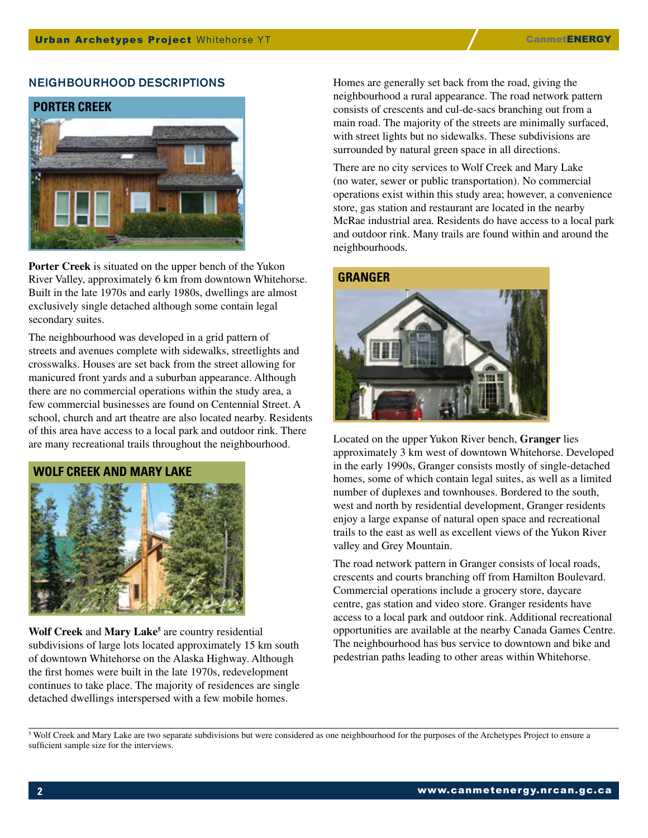#### NEIGHBOURHOOD DESCRIPTIONS



**Porter Creek** is situated on the upper bench of the Yukon River Valley, approximately 6 km from downtown Whitehorse. Built in the late 1970s and early 1980s, dwellings are almost exclusively single detached although some contain legal secondary suites.

The neighbourhood was developed in a grid pattern of streets and avenues complete with sidewalks, streetlights and crosswalks. Houses are set back from the street allowing for manicured front yards and a suburban appearance. Although there are no commercial operations within the study area, a few commercial businesses are found on Centennial Street. A school, church and art theatre are also located nearby. Residents of this area have access to a local park and outdoor rink. There are many recreational trails throughout the neighbourhood.



Wolf Creek and Mary Lake<sup>5</sup> are country residential subdivisions of large lots located approximately 15 km south of downtown Whitehorse on the Alaska Highway. Although the first homes were built in the late 1970s, redevelopment continues to take place. The majority of residences are single detached dwellings interspersed with a few mobile homes.

Homes are generally set back from the road, giving the neighbourhood a rural appearance. The road network pattern consists of crescents and cul-de-sacs branching out from a main road. The majority of the streets are minimally surfaced, with street lights but no sidewalks. These subdivisions are surrounded by natural green space in all directions.

There are no city services to Wolf Creek and Mary Lake (no water, sewer or public transportation). No commercial operations exist within this study area; however, a convenience store, gas station and restaurant are located in the nearby McRae industrial area. Residents do have access to a local park and outdoor rink. Many trails are found within and around the neighbourhoods.

#### **Granger**



Located on the upper Yukon River bench, **Granger** lies approximately 3 km west of downtown Whitehorse. Developed in the early 1990s, Granger consists mostly of single-detached homes, some of which contain legal suites, as well as a limited number of duplexes and townhouses. Bordered to the south, west and north by residential development, Granger residents enjoy a large expanse of natural open space and recreational trails to the east as well as excellent views of the Yukon River valley and Grey Mountain.

The road network pattern in Granger consists of local roads, crescents and courts branching off from Hamilton Boulevard. Commercial operations include a grocery store, daycare centre, gas station and video store. Granger residents have access to a local park and outdoor rink. Additional recreational opportunities are available at the nearby Canada Games Centre. The neighbourhood has bus service to downtown and bike and pedestrian paths leading to other areas within Whitehorse.

<sup>5</sup> Wolf Creek and Mary Lake are two separate subdivisions but were considered as one neighbourhood for the purposes of the Archetypes Project to ensure a sufficient sample size for the interviews.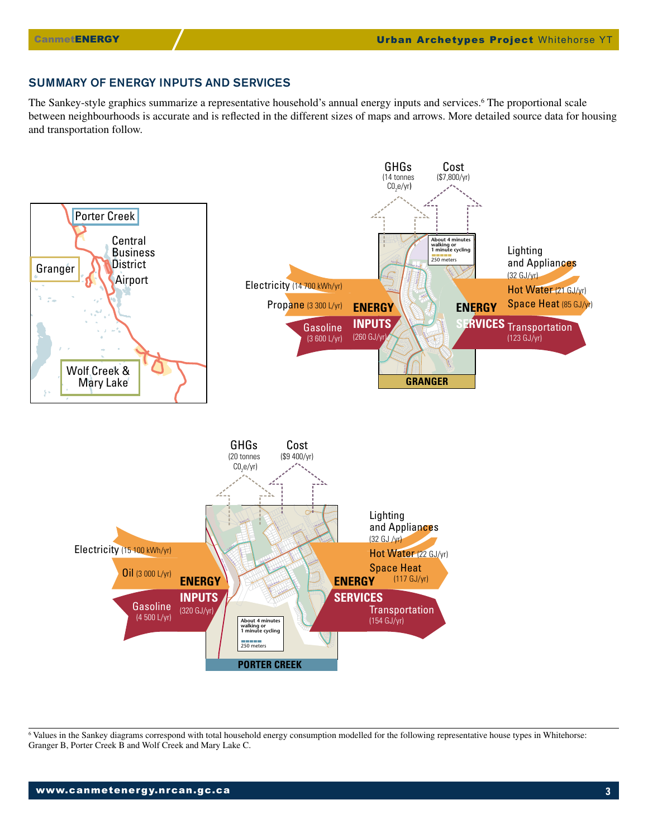## SUMMARY OF ENERGY INPUTS AND SERVICES

The Sankey-style graphics summarize a representative household's annual energy inputs and services.<sup>6</sup> The proportional scale between neighbourhoods is accurate and is reflected in the different sizes of maps and arrows. More detailed source data for housing and transportation follow.



6 Values in the Sankey diagrams correspond with total household energy consumption modelled for the following representative house types in Whitehorse: Granger B, Porter Creek B and Wolf Creek and Mary Lake C.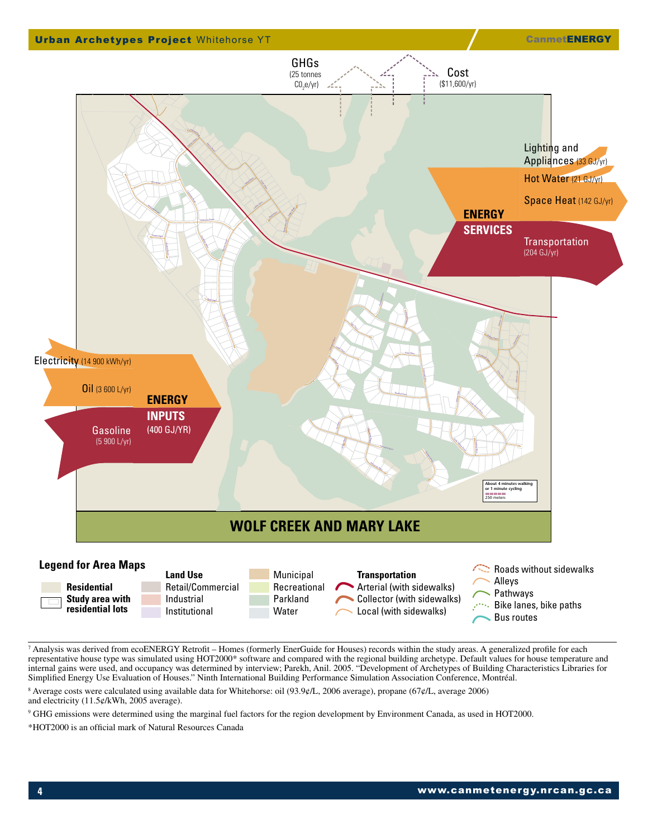

<sup>7</sup> Analysis was derived from ecoENERGY Retrofit – Homes (formerly EnerGuide for Houses) records within the study areas. A generalized profile for each representative house type was simulated using HOT2000\* software and compared with the regional building archetype. Default values for house temperature and internal gains were used, and occupancy was determined by interview; Parekh, Anil. 2005. "Development of Archetypes of Building Characteristics Libraries for Simplified Energy Use Evaluation of Houses." Ninth International Building Performance Simulation Association Conference, Montréal.

8 Average costs were calculated using available data for Whitehorse: oil (93.9¢/L, 2006 average), propane (67¢/L, average 2006) and electricity (11.5¢/kWh, 2005 average).

<sup>9</sup> GHG emissions were determined using the marginal fuel factors for the region development by Environment Canada, as used in HOT2000.

\*HOT2000 is an official mark of Natural Resources Canada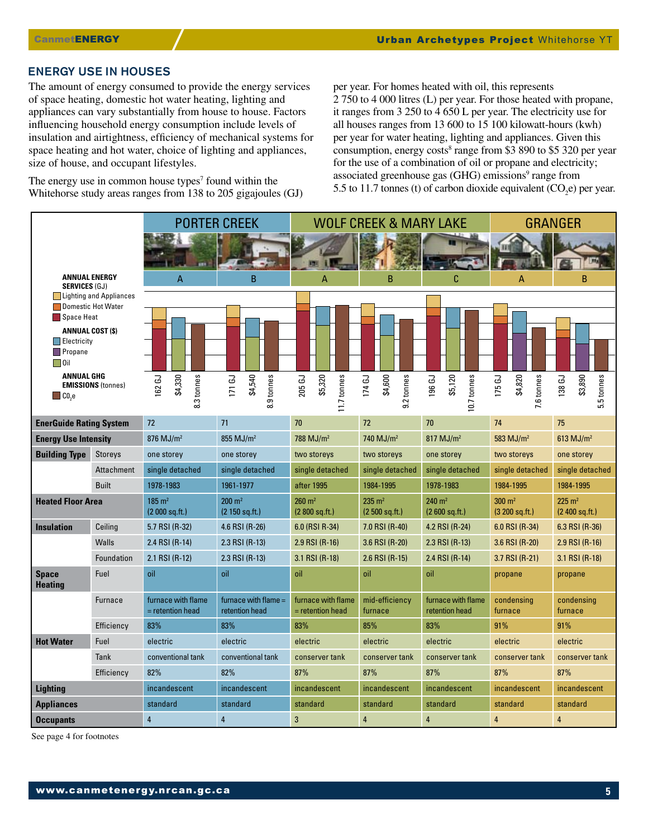#### ENERGY USE IN HOUSES

The amount of energy consumed to provide the energy services of space heating, domestic hot water heating, lighting and appliances can vary substantially from house to house. Factors influencing household energy consumption include levels of insulation and airtightness, efficiency of mechanical systems for space heating and hot water, choice of lighting and appliances, size of house, and occupant lifestyles.

The energy use in common house types<sup> $7$ </sup> found within the Whitehorse study areas ranges from 138 to 205 gigajoules (GJ) per year. For homes heated with oil, this represents 2 750 to 4 000 litres (L) per year. For those heated with propane, it ranges from 3 250 to 4 650 L per year. The electricity use for all houses ranges from 13 600 to 15 100 kilowatt-hours (kwh) per year for water heating, lighting and appliances. Given this consumption, energy costs<sup>8</sup> range from \$3 890 to \$5 320 per year for the use of a combination of oil or propane and electricity; associated greenhouse gas (GHG) emissions<sup>9</sup> range from 5.5 to 11.7 tonnes (t) of carbon dioxide equivalent  $(CO_2e)$  per year.

|                                                                         |                   | <b>PORTER CREEK</b>                      |                                        | <b>WOLF CREEK &amp; MARY LAKE</b>       |                                     |                                         | GRANGER                                |                                       |
|-------------------------------------------------------------------------|-------------------|------------------------------------------|----------------------------------------|-----------------------------------------|-------------------------------------|-----------------------------------------|----------------------------------------|---------------------------------------|
|                                                                         |                   |                                          |                                        |                                         |                                     |                                         |                                        |                                       |
|                                                                         |                   |                                          |                                        |                                         |                                     |                                         |                                        |                                       |
| <b>ANNUAL ENERGY</b><br><b>SERVICES (GJ)</b><br>Lighting and Appliances |                   | A                                        | B                                      | $\Delta$                                | <sub>B</sub>                        | C                                       | A                                      | B                                     |
|                                                                         |                   |                                          |                                        |                                         |                                     |                                         |                                        |                                       |
| <b>Domestic Hot Water</b><br>Space Heat                                 |                   |                                          |                                        |                                         |                                     |                                         |                                        |                                       |
| <b>ANNUAL COST (\$)</b>                                                 |                   |                                          |                                        |                                         |                                     |                                         |                                        |                                       |
| Electricity                                                             |                   |                                          |                                        |                                         |                                     |                                         |                                        |                                       |
| <b>Propane</b><br>$\Box$ Oil                                            |                   |                                          |                                        |                                         |                                     |                                         |                                        |                                       |
| <b>ANNUAL GHG</b>                                                       |                   | 62 GJ                                    |                                        |                                         |                                     |                                         |                                        |                                       |
| <b>EMISSIONS (tonnes)</b><br>$\Box$ C <sub>0</sub> ,e                   |                   | \$4,330<br>.3 tonnes                     | \$4,540<br>.9 tonnes<br><b>171 GJ</b>  | \$5,320<br>11.7 tonnes<br>205 GJ        | \$4,600<br>.2 tonnes<br>174 GJ      | \$5,120<br>10.7 tonnes<br><b>196 GJ</b> | \$4,820<br>7.6 tonnes<br>175 GJ        | \$3,890<br>5.5 tonnes<br>138 GJ       |
|                                                                         |                   | ∞                                        | $\infty$                               |                                         | တ                                   |                                         |                                        |                                       |
| <b>EnerGuide Rating System</b>                                          |                   | 72                                       | 71                                     | 70                                      | 72                                  | 70                                      | 74                                     | 75                                    |
| <b>Energy Use Intensity</b>                                             |                   | $876$ MJ/m <sup>2</sup>                  | 855 MJ/m <sup>2</sup>                  | 788 $MJ/m2$                             | 740 $MJ/m2$                         | $817$ MJ/m <sup>2</sup>                 | 583 $MJ/m2$                            | $613$ MJ/m <sup>2</sup>               |
| <b>Building Type</b>                                                    | <b>Storeys</b>    | one storey                               | one storey                             | two storeys                             | two storeys                         | one storey                              | two storeys                            | one storey                            |
|                                                                         | <b>Attachment</b> | single detached                          | single detached                        | single detached                         | single detached                     | single detached                         | single detached                        | single detached                       |
|                                                                         | <b>Built</b>      | 1978-1983                                | 1961-1977                              | after 1995                              | 1984-1995                           | 1978-1983                               | 1984-1995                              | 1984-1995                             |
| <b>Heated Floor Area</b>                                                |                   | $185 \text{ m}^2$<br>(2000 sq. ft.)      | $200 \; \text{m}^2$<br>(2 150 sq. ft.) | $260 \; \mathrm{m}^2$<br>(2800 sq. ft.) | $235 \text{ m}^2$<br>(2500 sq. ft.) | $240 \text{ m}^2$<br>(2600 sq. ft.)     | $300 \; \text{m}^2$<br>(3 200 sq. ft.) | $225 \text{ m}^2$<br>$(2,400$ sq.ft.) |
| <b>Insulation</b>                                                       | Ceiling           | 5.7 RSI (R-32)                           | 4.6 RSI (R-26)                         | 6.0 (RSI R-34)                          | 7.0 RSI (R-40)                      | 4.2 RSI (R-24)                          | 6.0 RSI (R-34)                         | 6.3 RSI (R-36)                        |
|                                                                         | <b>Walls</b>      | 2.4 RSI (R-14)                           | 2.3 RSI (R-13)                         | 2.9 RSI (R-16)                          | 3.6 RSI (R-20)                      | 2.3 RSI (R-13)                          | 3.6 RSI (R-20)                         | 2.9 RSI (R-16)                        |
|                                                                         | Foundation        | 2.1 RSI (R-12)                           | 2.3 RSI (R-13)                         | 3.1 RSI (R-18)                          | 2.6 RSI (R-15)                      | 2.4 RSI (R-14)                          | 3.7 RSI (R-21)                         | 3.1 RSI (R-18)                        |
| <b>Space</b>                                                            | Fuel              | oil                                      | oil                                    | oil                                     | oil                                 | oil                                     | propane                                | propane                               |
| <b>Heating</b>                                                          |                   |                                          |                                        |                                         |                                     |                                         |                                        |                                       |
|                                                                         | <b>Furnace</b>    | furnace with flame<br>$=$ retention head | furnace with flame =<br>retention head | furnace with flame<br>= retention head  | mid-efficiency<br>furnace           | furnace with flame<br>retention head    | condensing<br>furnace                  | condensing<br>furnace                 |
|                                                                         | Efficiency        | 83%                                      | 83%                                    | 83%                                     | 85%                                 | 83%                                     | 91%                                    | 91%                                   |
| <b>Hot Water</b>                                                        | Fuel              | electric                                 | electric                               | electric                                | electric                            | electric                                | electric                               | electric                              |
|                                                                         | Tank              | conventional tank                        | conventional tank                      | conserver tank                          | conserver tank                      | conserver tank                          | conserver tank                         | conserver tank                        |
|                                                                         | Efficiency        | 82%                                      | 82%                                    | 87%                                     | 87%                                 | 87%                                     | 87%                                    | 87%                                   |
| <b>Lighting</b>                                                         |                   | incandescent                             | incandescent                           | incandescent                            | incandescent                        | incandescent                            | incandescent                           | incandescent                          |
| <b>Appliances</b>                                                       |                   | standard                                 | standard                               | standard                                | standard                            | standard                                | standard                               | standard                              |
| <b>Occupants</b>                                                        |                   | $\overline{4}$                           | $\overline{4}$                         | 3                                       | $\overline{4}$                      | $\overline{4}$                          | $\overline{4}$                         | $\overline{4}$                        |

See page 4 for footnotes